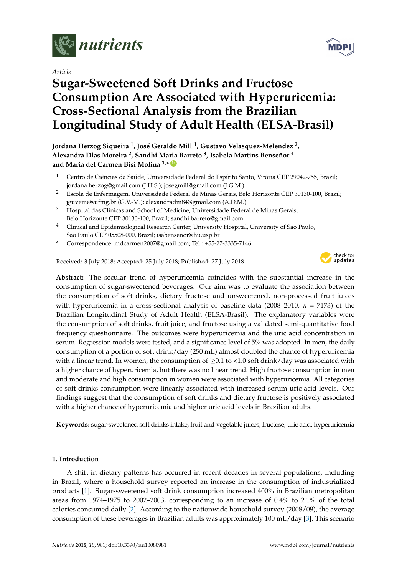

*Article*

# **Sugar-Sweetened Soft Drinks and Fructose Consumption Are Associated with Hyperuricemia: Cross-Sectional Analysis from the Brazilian Longitudinal Study of Adult Health (ELSA-Brasil)**



# **Jordana Herzog Siqueira <sup>1</sup> , José Geraldo Mill <sup>1</sup> , Gustavo Velasquez-Melendez <sup>2</sup> , Alexandra Dias Moreira <sup>2</sup> , Sandhi Maria Barreto <sup>3</sup> , Isabela Martins Benseñor <sup>4</sup>** and Maria del Carmen Bisi Molina <sup>1,</sup>\* **D**

- <sup>1</sup> Centro de Ciências da Saúde, Universidade Federal do Espírito Santo, Vitória CEP 29042-755, Brazil; jordana.herzog@gmail.com (J.H.S.); josegmill@gmail.com (J.G.M.)
- <sup>2</sup> Escola de Enfermagem, Universidade Federal de Minas Gerais, Belo Horizonte CEP 30130-100, Brazil; jguveme@ufmg.br (G.V.-M.); alexandradm84@gmail.com (A.D.M.)
- <sup>3</sup> Hospital das Clinicas and School of Medicine, Universidade Federal de Minas Gerais, Belo Horizonte CEP 30130-100, Brazil; sandhi.barreto@gmail.com
- <sup>4</sup> Clinical and Epidemiological Research Center, University Hospital, University of São Paulo, São Paulo CEP 05508-000, Brazil; isabensenor@hu.usp.br
- **\*** Correspondence: mdcarmen2007@gmail.com; Tel.: +55-27-3335-7146

Received: 3 July 2018; Accepted: 25 July 2018; Published: 27 July 2018



**Abstract:** The secular trend of hyperuricemia coincides with the substantial increase in the consumption of sugar-sweetened beverages. Our aim was to evaluate the association between the consumption of soft drinks, dietary fructose and unsweetened, non-processed fruit juices with hyperuricemia in a cross-sectional analysis of baseline data (2008–2010; *n* = 7173) of the Brazilian Longitudinal Study of Adult Health (ELSA-Brasil). The explanatory variables were the consumption of soft drinks, fruit juice, and fructose using a validated semi-quantitative food frequency questionnaire. The outcomes were hyperuricemia and the uric acid concentration in serum. Regression models were tested, and a significance level of 5% was adopted. In men, the daily consumption of a portion of soft drink/day (250 mL) almost doubled the chance of hyperuricemia with a linear trend. In women, the consumption of  $\geq 0.1$  to <1.0 soft drink/day was associated with a higher chance of hyperuricemia, but there was no linear trend. High fructose consumption in men and moderate and high consumption in women were associated with hyperuricemia. All categories of soft drinks consumption were linearly associated with increased serum uric acid levels. Our findings suggest that the consumption of soft drinks and dietary fructose is positively associated with a higher chance of hyperuricemia and higher uric acid levels in Brazilian adults.

**Keywords:** sugar-sweetened soft drinks intake; fruit and vegetable juices; fructose; uric acid; hyperuricemia

## **1. Introduction**

A shift in dietary patterns has occurred in recent decades in several populations, including in Brazil, where a household survey reported an increase in the consumption of industrialized products [\[1\]](#page-11-0). Sugar-sweetened soft drink consumption increased 400% in Brazilian metropolitan areas from 1974–1975 to 2002–2003, corresponding to an increase of 0.4% to 2.1% of the total calories consumed daily [\[2\]](#page-11-1). According to the nationwide household survey (2008/09), the average consumption of these beverages in Brazilian adults was approximately 100 mL/day [\[3\]](#page-11-2). This scenario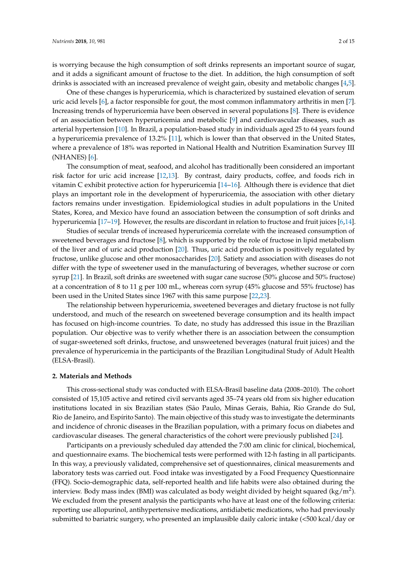is worrying because the high consumption of soft drinks represents an important source of sugar, and it adds a significant amount of fructose to the diet. In addition, the high consumption of soft drinks is associated with an increased prevalence of weight gain, obesity and metabolic changes [\[4,](#page-11-3)[5\]](#page-11-4).

One of these changes is hyperuricemia, which is characterized by sustained elevation of serum uric acid levels [\[6\]](#page-11-5), a factor responsible for gout, the most common inflammatory arthritis in men [\[7\]](#page-12-0). Increasing trends of hyperuricemia have been observed in several populations [\[8\]](#page-12-1). There is evidence of an association between hyperuricemia and metabolic [\[9\]](#page-12-2) and cardiovascular diseases, such as arterial hypertension [\[10\]](#page-12-3). In Brazil, a population-based study in individuals aged 25 to 64 years found a hyperuricemia prevalence of 13.2% [\[11\]](#page-12-4), which is lower than that observed in the United States, where a prevalence of 18% was reported in National Health and Nutrition Examination Survey III (NHANES) [\[6\]](#page-11-5).

The consumption of meat, seafood, and alcohol has traditionally been considered an important risk factor for uric acid increase [\[12](#page-12-5)[,13\]](#page-12-6). By contrast, dairy products, coffee, and foods rich in vitamin C exhibit protective action for hyperuricemia [\[14–](#page-12-7)[16\]](#page-12-8). Although there is evidence that diet plays an important role in the development of hyperuricemia, the association with other dietary factors remains under investigation. Epidemiological studies in adult populations in the United States, Korea, and Mexico have found an association between the consumption of soft drinks and hyperuricemia [\[17–](#page-12-9)[19\]](#page-12-10). However, the results are discordant in relation to fructose and fruit juices [\[6](#page-11-5)[,14\]](#page-12-7).

Studies of secular trends of increased hyperuricemia correlate with the increased consumption of sweetened beverages and fructose [\[8\]](#page-12-1), which is supported by the role of fructose in lipid metabolism of the liver and of uric acid production [\[20\]](#page-12-11). Thus, uric acid production is positively regulated by fructose, unlike glucose and other monosaccharides [\[20\]](#page-12-11). Satiety and association with diseases do not differ with the type of sweetener used in the manufacturing of beverages, whether sucrose or corn syrup [\[21\]](#page-12-12). In Brazil, soft drinks are sweetened with sugar cane sucrose (50% glucose and 50% fructose) at a concentration of 8 to 11 g per 100 mL, whereas corn syrup (45% glucose and 55% fructose) has been used in the United States since 1967 with this same purpose [\[22,](#page-12-13)[23\]](#page-12-14).

The relationship between hyperuricemia, sweetened beverages and dietary fructose is not fully understood, and much of the research on sweetened beverage consumption and its health impact has focused on high-income countries. To date, no study has addressed this issue in the Brazilian population. Our objective was to verify whether there is an association between the consumption of sugar-sweetened soft drinks, fructose, and unsweetened beverages (natural fruit juices) and the prevalence of hyperuricemia in the participants of the Brazilian Longitudinal Study of Adult Health (ELSA-Brasil).

#### **2. Materials and Methods**

This cross-sectional study was conducted with ELSA-Brasil baseline data (2008–2010). The cohort consisted of 15,105 active and retired civil servants aged 35–74 years old from six higher education institutions located in six Brazilian states (São Paulo, Minas Gerais, Bahia, Rio Grande do Sul, Rio de Janeiro, and Espírito Santo). The main objective of this study was to investigate the determinants and incidence of chronic diseases in the Brazilian population, with a primary focus on diabetes and cardiovascular diseases. The general characteristics of the cohort were previously published [\[24\]](#page-12-15).

Participants on a previously scheduled day attended the 7:00 am clinic for clinical, biochemical, and questionnaire exams. The biochemical tests were performed with 12-h fasting in all participants. In this way, a previously validated, comprehensive set of questionnaires, clinical measurements and laboratory tests was carried out. Food intake was investigated by a Food Frequency Questionnaire (FFQ). Socio-demographic data, self-reported health and life habits were also obtained during the interview. Body mass index (BMI) was calculated as body weight divided by height squared (kg/m<sup>2</sup>). We excluded from the present analysis the participants who have at least one of the following criteria: reporting use allopurinol, antihypertensive medications, antidiabetic medications, who had previously submitted to bariatric surgery, who presented an implausible daily caloric intake (<500 kcal/day or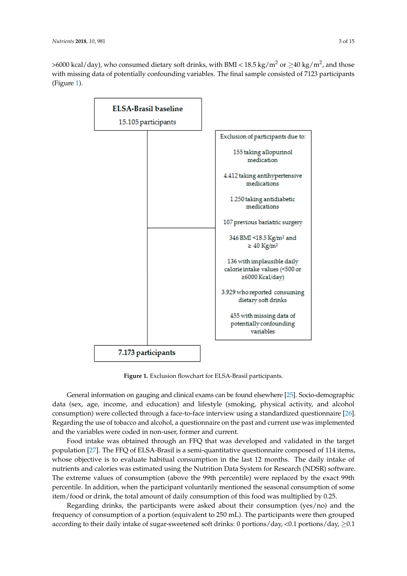>6000 kcal/day), who consumed dietary soft drinks, with BMI <  $18.5 \text{ kg/m}^2$  or  $\geq$  40 kg/m<sup>2</sup>, and those with missing data of potentially confounding variables. The final sample consisted of 7123 participants  $(Figure 1)$  $(Figure 1)$ .

<span id="page-2-0"></span>

**Figure 1.** Exclusion flowchart for ELSA-Brasil participants. **Figure 1.** Exclusion flowchart for ELSA-Brasil participants.

General information on gauging and clinical exams can be found elsewhere [25]. General information on gauging and clinical exams can be found elsewhere [\[25\]](#page-12-16). Socio-demographic data (sex, age, income, and education) and lifestyle (smoking, physical activity, and alcohol consumption) were collected through a face-to-face interview using a standardized questionnaire [\[26\]](#page-12-17). Regarding the use of tobacco and alcohol, a questionnaire on the past and current use was implemented and the variables were coded in non-user, former and current.

Food intake was obtained through an FFQ that was developed and validated in the target Food intake was obtained through an FFQ that was developed and validated in the target population [27]. The FFQ of ELSA-Brasil is a semi-quantitative questionnaire composed of 114 items, population [\[27\]](#page-13-0). The FFQ of ELSA-Brasil is a semi-quantitative questionnaire composed of 114 items, whose objective is to evaluate habitual consumption in the last 12 months. The daily intake of whose objective is to evaluate habitual consumption in the last 12 months. The daily intake of nutrients and calories was estimated using the Nutrition Data System for Research (NDSR) software. nutrients and calories was estimated using the Nutrition Data System for Research (NDSR) software. The extreme values of consumption (above the 99th percentile) were replaced by the exact 99th percentile. In addition, when the participant voluntarily mentioned the seasonal consumption of percentile. In addition, when the participant voluntarily mentioned the seasonal consumption of some item/food or drink, the total amount of daily consumption of this food was multiplied by 0.25.

Regarding drinks, the participants were asked about their consumption (yes/no) and the frequency of consumption of a portion (equivalent to 250 mL). The participants were then grouped according to their daily intake of sugar-sweetened soft drinks: 0 portions/day, <0.1 portions/day,  $\geq$ 0.1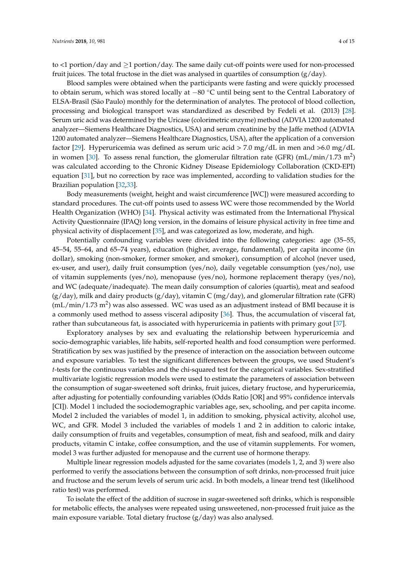to <1 portion/day and ≥1 portion/day. The same daily cut-off points were used for non-processed fruit juices. The total fructose in the diet was analysed in quartiles of consumption  $(g/day)$ .

Blood samples were obtained when the participants were fasting and were quickly processed to obtain serum, which was stored locally at −80 ◦C until being sent to the Central Laboratory of ELSA-Brasil (São Paulo) monthly for the determination of analytes. The protocol of blood collection, processing and biological transport was standardized as described by Fedeli et al. (2013) [\[28\]](#page-13-1). Serum uric acid was determined by the Uricase (colorimetric enzyme) method (ADVIA 1200 automated analyzer—Siemens Healthcare Diagnostics, USA) and serum creatinine by the Jaffe method (ADVIA 1200 automated analyzer—Siemens Healthcare Diagnostics, USA), after the application of a conversion factor [\[29\]](#page-13-2). Hyperuricemia was defined as serum uric acid > 7.0 mg/dL in men and >6.0 mg/dL in women [\[30\]](#page-13-3). To assess renal function, the glomerular filtration rate (GFR) (mL/min/1.73 m<sup>2</sup>) was calculated according to the Chronic Kidney Disease Epidemiology Collaboration (CKD-EPI) equation [\[31\]](#page-13-4), but no correction by race was implemented, according to validation studies for the Brazilian population [\[32](#page-13-5)[,33\]](#page-13-6).

Body measurements (weight, height and waist circumference [WC]) were measured according to standard procedures. The cut-off points used to assess WC were those recommended by the World Health Organization (WHO) [\[34\]](#page-13-7). Physical activity was estimated from the International Physical Activity Questionnaire (IPAQ) long version, in the domains of leisure physical activity in free time and physical activity of displacement [\[35\]](#page-13-8), and was categorized as low, moderate, and high.

Potentially confounding variables were divided into the following categories: age (35–55, 45–54, 55–64, and 65–74 years), education (higher, average, fundamental), per capita income (in dollar), smoking (non-smoker, former smoker, and smoker), consumption of alcohol (never used, ex-user, and user), daily fruit consumption (yes/no), daily vegetable consumption (yes/no), use of vitamin supplements (yes/no), menopause (yes/no), hormone replacement therapy (yes/no), and WC (adequate/inadequate). The mean daily consumption of calories (quartis), meat and seafood  $(g/day)$ , milk and dairy products  $(g/day)$ , vitamin C (mg/day), and glomerular filtration rate (GFR) (mL/min/1.73 m<sup>2</sup>) was also assessed. WC was used as an adjustment instead of BMI because it is a commonly used method to assess visceral adiposity [\[36\]](#page-13-9). Thus, the accumulation of visceral fat, rather than subcutaneous fat, is associated with hyperuricemia in patients with primary gout [\[37\]](#page-13-10).

Exploratory analyses by sex and evaluating the relationship between hyperuricemia and socio-demographic variables, life habits, self-reported health and food consumption were performed. Stratification by sex was justified by the presence of interaction on the association between outcome and exposure variables. To test the significant differences between the groups, we used Student's *t*-tests for the continuous variables and the chi-squared test for the categorical variables. Sex-stratified multivariate logistic regression models were used to estimate the parameters of association between the consumption of sugar-sweetened soft drinks, fruit juices, dietary fructose, and hyperuricemia, after adjusting for potentially confounding variables (Odds Ratio [OR] and 95% confidence intervals [CI]). Model 1 included the sociodemographic variables age, sex, schooling, and per capita income. Model 2 included the variables of model 1, in addition to smoking, physical activity, alcohol use, WC, and GFR. Model 3 included the variables of models 1 and 2 in addition to caloric intake, daily consumption of fruits and vegetables, consumption of meat, fish and seafood, milk and dairy products, vitamin C intake, coffee consumption, and the use of vitamin supplements. For women, model 3 was further adjusted for menopause and the current use of hormone therapy.

Multiple linear regression models adjusted for the same covariates (models 1, 2, and 3) were also performed to verify the associations between the consumption of soft drinks, non-processed fruit juice and fructose and the serum levels of serum uric acid. In both models, a linear trend test (likelihood ratio test) was performed.

To isolate the effect of the addition of sucrose in sugar-sweetened soft drinks, which is responsible for metabolic effects, the analyses were repeated using unsweetened, non-processed fruit juice as the main exposure variable. Total dietary fructose (g/day) was also analysed.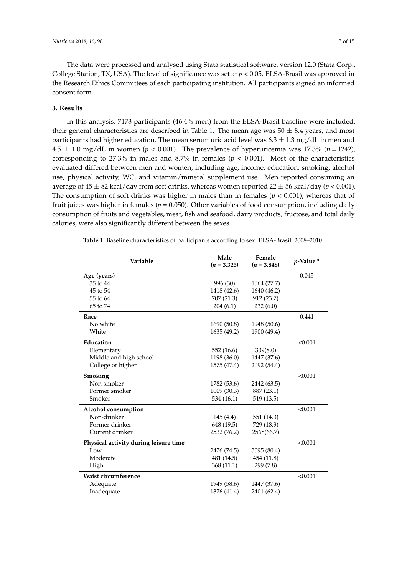The data were processed and analysed using Stata statistical software, version 12.0 (Stata Corp., College Station, TX, USA). The level of significance was set at *p* < 0.05. ELSA-Brasil was approved in the Research Ethics Committees of each participating institution. All participants signed an informed consent form.

#### **3. Results**

In this analysis, 7173 participants (46.4% men) from the ELSA-Brasil baseline were included; their general characteristics are described in Table [1.](#page-4-0) The mean age was  $50 \pm 8.4$  years, and most participants had higher education. The mean serum uric acid level was  $6.3 \pm 1.3$  mg/dL in men and  $4.5 \pm 1.0$  mg/dL in women ( $p < 0.001$ ). The prevalence of hyperuricemia was 17.3% ( $n = 1242$ ), corresponding to 27.3% in males and 8.7% in females  $(p < 0.001)$ . Most of the characteristics evaluated differed between men and women, including age, income, education, smoking, alcohol use, physical activity, WC, and vitamin/mineral supplement use. Men reported consuming an average of  $45 \pm 82$  kcal/day from soft drinks, whereas women reported  $22 \pm 56$  kcal/day ( $p < 0.001$ ). The consumption of soft drinks was higher in males than in females (*p* < 0.001), whereas that of fruit juices was higher in females ( $p = 0.050$ ). Other variables of food consumption, including daily consumption of fruits and vegetables, meat, fish and seafood, dairy products, fructose, and total daily calories, were also significantly different between the sexes.

| Variable                              | Male<br>$(n = 3.325)$ | Female<br>$(n = 3.848)$ | $p$ -Value $*$ |
|---------------------------------------|-----------------------|-------------------------|----------------|
| Age (years)                           |                       |                         | 0.045          |
| 35 to 44                              | 996 (30)              | 1064 (27.7)             |                |
| 45 to 54                              | 1418 (42.6)           | 1640 (46.2)             |                |
| 55 to 64                              | 707 (21.3)            | 912 (23.7)              |                |
| 65 to 74                              | 204(6.1)              | 232(6.0)                |                |
| Race                                  |                       |                         | 0.441          |
| No white                              | 1690 (50.8)           | 1948 (50.6)             |                |
| White                                 | 1635 (49.2)           | 1900 (49.4)             |                |
| Education                             |                       |                         | < 0.001        |
| Elementary                            | 552 (16.6)            | 309(8.0)                |                |
| Middle and high school                | 1198 (36.0)           | 1447 (37.6)             |                |
| College or higher                     | 1575 (47.4)           | 2092 (54.4)             |                |
| Smoking                               |                       |                         | < 0.001        |
| Non-smoker                            | 1782 (53.6)           | 2442 (63.5)             |                |
| Former smoker                         | 1009 (30.3)           | 887 (23.1)              |                |
| Smoker                                | 534 (16.1)            | 519 (13.5)              |                |
| Alcohol consumption                   |                       |                         | < 0.001        |
| Non-drinker                           | 145 (4.4)             | 551 (14.3)              |                |
| Former drinker                        | 648 (19.5)            | 729 (18.9)              |                |
| Current drinker                       | 2532 (76.2)           | 2568(66.7)              |                |
| Physical activity during leisure time |                       |                         | < 0.001        |
| Low                                   | 2476 (74.5)           | 3095 (80.4)             |                |
| Moderate                              | 481 (14.5)            | 454 (11.8)              |                |
| High                                  | 368 (11.1)            | 299 (7.8)               |                |
| Waist circumference                   |                       |                         | < 0.001        |
| Adequate                              | 1949 (58.6)           | 1447 (37.6)             |                |
| Inadequate                            | 1376 (41.4)           | 2401 (62.4)             |                |

<span id="page-4-0"></span>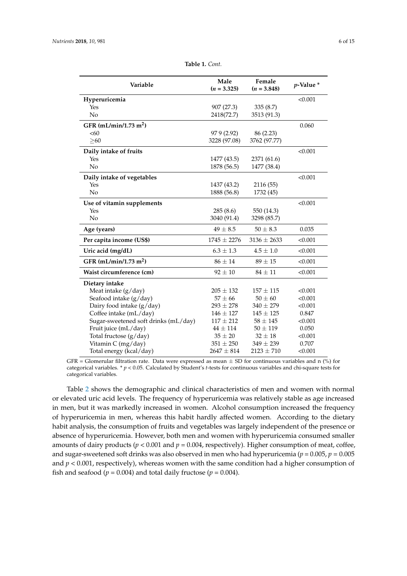| Variable                             | Male<br>$(n = 3.325)$ | Female<br>$(n = 3.848)$ | $p$ -Value $*$ |
|--------------------------------------|-----------------------|-------------------------|----------------|
| Hyperuricemia                        |                       |                         | < 0.001        |
| Yes                                  | 907 (27.3)            | 335(8.7)                |                |
| No                                   | 2418(72.7)            | 3513 (91.3)             |                |
| GFR (mL/min/1.73 m <sup>2</sup> )    |                       |                         | 0.060          |
| <60                                  | 97 9 (2.92)           | 86 (2.23)               |                |
| > 60                                 | 3228 (97.08)          | 3762 (97.77)            |                |
| Daily intake of fruits               |                       |                         | < 0.001        |
| Yes                                  | 1477 (43.5)           | 2371 (61.6)             |                |
| N <sub>o</sub>                       | 1878 (56.5)           | 1477 (38.4)             |                |
| Daily intake of vegetables           |                       |                         | < 0.001        |
| Yes                                  | 1437 (43.2)           | 2116 (55)               |                |
| No                                   | 1888 (56.8)           | 1732 (45)               |                |
| Use of vitamin supplements           |                       |                         | < 0.001        |
| Yes                                  | 285 (8.6)             | 550 (14.3)              |                |
| No                                   | 3040 (91.4)           | 3298 (85.7)             |                |
| Age (years)                          | $49 \pm 8.5$          | $50 \pm 8.3$            | 0.035          |
| Per capita income (US\$)             | $1745 \pm 2276$       | $3136 \pm 2633$         | < 0.001        |
| Uric acid (mg/dL)                    | $6.3 \pm 1.3$         | $4.5 \pm 1.0$           | < 0.001        |
| GFR $(mL/min/1.73 m2)$               | $86 \pm 14$           | $89\pm15$               | < 0.001        |
| Waist circumference (cm)             | $92 \pm 10$           | $84 \pm 11$             | < 0.001        |
| Dietary intake                       |                       |                         |                |
| Meat intake (g/day)                  | $205 \pm 132$         | $157 \pm 115$           | < 0.001        |
| Seafood intake (g/day)               | $57 \pm 66$           | $50 \pm 60$             | < 0.001        |
| Dairy food intake (g/day)            | $293 \pm 278$         | $340 \pm 279$           | < 0.001        |
| Coffee intake (mL/day)               | $146 \pm 127$         | $145 \pm 125$           | 0.847          |
| Sugar-sweetened soft drinks (mL/day) | $117 \pm 212$         | $58 \pm 145$            | < 0.001        |
| Fruit juice (mL/day)                 | $44 \pm 114$          | $50 \pm 119$            | 0.050          |
| Total fructose (g/day)               | $35 \pm 20$           | $32 \pm 18$             | < 0.001        |
| Vitamin C (mg/day)                   | $351 \pm 250$         | $349 \pm 239$           | 0.707          |
| Total energy (kcal/day)              | $2647 \pm 814$        | $2123 \pm 710$          | < 0.001        |

| <b>Table 1.</b> Cont. |
|-----------------------|
|-----------------------|

GFR = Glomerular filtration rate. Data were expressed as mean  $\pm$  SD for continuous variables and n (%) for categorical variables. \* *p* < 0.05. Calculated by Student's *t*-tests for continuous variables and chi-square tests for categorical variables.

Table [2](#page-6-0) shows the demographic and clinical characteristics of men and women with normal or elevated uric acid levels. The frequency of hyperuricemia was relatively stable as age increased in men, but it was markedly increased in women. Alcohol consumption increased the frequency of hyperuricemia in men, whereas this habit hardly affected women. According to the dietary habit analysis, the consumption of fruits and vegetables was largely independent of the presence or absence of hyperuricemia. However, both men and women with hyperuricemia consumed smaller amounts of dairy products ( $p < 0.001$  and  $p = 0.004$ , respectively). Higher consumption of meat, coffee, and sugar-sweetened soft drinks was also observed in men who had hyperuricemia ( $p = 0.005$ ,  $p = 0.005$ and *p* < 0.001, respectively), whereas women with the same condition had a higher consumption of fish and seafood ( $p = 0.004$ ) and total daily fructose ( $p = 0.004$ ).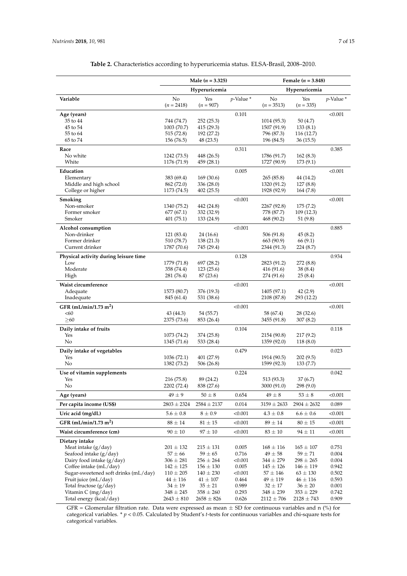<span id="page-6-0"></span>

|                                                 | Male $(n = 3.325)$           |                              | Female $(n = 3.848)$ |                              |                              |                |
|-------------------------------------------------|------------------------------|------------------------------|----------------------|------------------------------|------------------------------|----------------|
|                                                 | Hyperuricemia                |                              | Hyperuricemia        |                              |                              |                |
| Variable                                        | No                           | Yes                          | $p$ -Value *         | No                           | Yes                          | $p$ -Value *   |
|                                                 | $(n = 2418)$                 | $(n = 907)$                  |                      | $(n = 3513)$                 | $(n = 335)$                  |                |
| Age (years)                                     |                              |                              | 0.101                |                              |                              | < 0.001        |
| 35 to 44                                        | 744 (74.7)                   | 252(25.3)                    |                      | 1014 (95.3)                  | 50 (4.7)                     |                |
| 45 to 54<br>55 to 64                            | 1003 (70.7)<br>515(72.8)     | 415 (29.3)<br>192 (27.2)     |                      | 1507 (91.9)<br>796 (87.3)    | 133(8.1)<br>116 (12.7)       |                |
| 65 to 74                                        | 156 (76.5)                   | 48 (23.5)                    |                      | 196 (84.5)                   | 36(15.5)                     |                |
| Race                                            |                              |                              | 0.311                |                              |                              | 0.385          |
| No white                                        | 1242 (73.5)                  | 448 (26.5)                   |                      | 1786 (91.7)                  | 162(8.3)                     |                |
| White                                           | 1176 (71.9)                  | 459 (28.1)                   |                      | 1727 (90.9)                  | 173(9.1)                     |                |
| Education                                       |                              |                              | 0.005                |                              |                              | < 0.001        |
| Elementary                                      | 383 (69.4)                   | 169 (30.6)                   |                      | 265 (85.8)                   | 44 (14.2)                    |                |
| Middle and high school<br>College or higher     | 862 (72.0)<br>1173 (74.5)    | 336(28.0)<br>402(25.5)       |                      | 1320 (91.2)<br>1928 (92.9)   | 127(8.8)<br>164 (7.8)        |                |
|                                                 |                              |                              |                      |                              |                              |                |
| Smoking<br>Non-smoker                           | 1340 (75.2)                  | 442 (24.8)                   | < 0.001              | 2267 (92.8)                  | 175(7.2)                     | < 0.001        |
| Former smoker                                   | 677(67.1)                    | 332 (32.9)                   |                      | 778 (87.7)                   | 109 (12.3)                   |                |
| Smoker                                          | 401 (75.1)                   | 133 (24.9)                   |                      | 468 (90.2)                   | 51 (9.8)                     |                |
| Alcohol consumption                             |                              |                              | < 0.001              |                              |                              | 0.885          |
| Non-drinker                                     | 121 (83.4)                   | 24 (16.6)                    |                      | 506 (91.8)                   | 45(8.2)                      |                |
| Former drinker                                  | 510 (78.7)                   | 138 (21.3)                   |                      | 663 (90.9)                   | 66 (9.1)                     |                |
| Current drinker                                 | 1787 (70.6)                  | 745 (29.4)                   |                      | 2344 (91.3)                  | 224 (8.7)                    |                |
| Physical activity during leisure time           |                              |                              | 0.128                |                              |                              | 0.934          |
| Low                                             | 1779 (71.8)                  | 697 (28.2)                   |                      | 2823 (91.2)                  | 272 (8.8)                    |                |
| Moderate                                        | 358 (74.4)                   | 123 (25.6)                   |                      | 416 (91.6)                   | 38(8.4)                      |                |
| High                                            | 281 (76.4)                   | 87 (23.6)                    |                      | 274 (91.6)                   | 25(8.4)                      |                |
| Waist circumference                             |                              |                              | < 0.001              |                              |                              | < 0.001        |
| Adequate<br>Inadequate                          | 1573 (80.7)<br>845 (61.4)    | 376 (19.3)<br>531 (38.6)     |                      | 1405 (97.1)<br>2108 (87.8)   | 42(2.9)<br>293 (12.2)        |                |
|                                                 |                              |                              |                      |                              |                              |                |
| GFR (mL/min/1.73 m <sup>2</sup> )<br>< 60       | 43 (44.3)                    | 54 (55.7)                    | < 0.001              | 58 (67.4)                    | 28(32.6)                     | < 0.001        |
| > 60                                            | 2375 (73.6)                  | 853 (26.4)                   |                      | 3455 (91.8)                  | 307(8.2)                     |                |
| Daily intake of fruits                          |                              |                              | 0.104                |                              |                              | 0.118          |
| Yes                                             | 1073 (74.2)                  | 374 (25.8)                   |                      | 2154 (90.8)                  | 217(9.2)                     |                |
| No                                              | 1345 (71.6)                  | 533 (28.4)                   |                      | 1359 (92.0)                  | 118(8.0)                     |                |
| Daily intake of vegetables                      |                              |                              | 0.479                |                              |                              | 0.023          |
| Yes                                             | 1036 (72.1)                  | 401 (27.9)                   |                      | 1914 (90.5)                  | 202(9.5)                     |                |
| No                                              | 1382 (73.2)                  | 506 (26.8)                   |                      | 1599 (92.3)                  | 133(7.7)                     |                |
| Use of vitamin supplements                      |                              |                              | 0.224                |                              |                              | 0.042          |
| Yes<br>No                                       | 216 (75.8)<br>2202 (72.4)    | 89 (24.2)<br>838 (27.6)      |                      | 513 (93.3)<br>3000 (91.0)    | 37(6.7)<br>298(9.0)          |                |
|                                                 | $49 \pm 9$                   |                              |                      | $49\pm8$                     |                              |                |
| Age (years)<br>Per capita income (US\$)         |                              | $50 \pm 8$                   | 0.654                |                              | $53 \pm 8$                   | < 0.001        |
|                                                 | $2803 \pm 2324$              | $2584 \pm 2137$              | 0.014                | $3159 \pm 2633$              | $2904 \pm 2632$              | 0.089          |
| Uric acid (mg/dL)                               | $5.6 \pm 0.8$                | $8 \pm 0.9$                  | < 0.001              | $4.3 \pm 0.8$                | $6.6 \pm 0.6$                | < 0.001        |
| GFR $(mL/min/1.73 m2)$                          | $88 \pm 14$                  | $81 \pm 15$                  | < 0.001              | $89 \pm 14$                  | $80 \pm 15$                  | < 0.001        |
| Waist circumference (cm)                        | $90 \pm 10$                  | $97\pm10$                    | < 0.001              | $83 \pm 10$                  | $94 \pm 11$                  | < 0.001        |
| Dietary intake                                  |                              |                              |                      |                              |                              |                |
| Meat intake $(g/day)$<br>Seafood intake (g/day) | $201 \pm 132$                | $215 \pm 131$                | 0.005<br>0.716       | $168 \pm 116$                | $165 \pm 107$                | 0.751<br>0.004 |
| Dairy food intake (g/day)                       | $57 \pm 66$<br>$306 \pm 281$ | $59 \pm 65$<br>$256 \pm 264$ | < 0.001              | $49 \pm 58$<br>$344 \pm 279$ | $59 \pm 71$<br>$298 \pm 265$ | 0.004          |
| Coffee intake (mL/day)                          | $142 \pm 125$                | $156 \pm 130$                | 0.005                | $145 \pm 126$                | $146 \pm 119$                | 0.942          |
| Sugar-sweetened soft drinks (mL/day)            | $110 \pm 205$                | $140 \pm 230$                | < 0.001              | $57\pm146$                   | $63 \pm 130$                 | 0.502          |
| Fruit juice (mL/day)                            | $44 \pm 116$                 | $41 \pm 107$                 | 0.464                | $49 \pm 119$                 | $46 \pm 116$                 | 0.593          |
| Total fructose (g/day)                          | $34 \pm 19$                  | $35 \pm 21$                  | 0.989                | $32 \pm 17$                  | $36 \pm 20$                  | 0.001          |
| Vitamin C (mg/day)                              | $348 \pm 245$                | $358 \pm 260$                | 0.293                | $348 \pm 239$                | $353 \pm 229$                | 0.742          |
| Total energy (kcal/day)                         | $2643 \pm 810$               | $2658 \pm 826$               | 0.626                | $2112 \pm 706$               | $2128 \pm 743$               | 0.909          |

| Table 2. Characteristics according to hyperuricemia status. ELSA-Brasil, 2008-2010. |  |
|-------------------------------------------------------------------------------------|--|
|                                                                                     |  |

GFR = Glomerular filtration rate. Data were expressed as mean  $\pm$  SD for continuous variables and n (%) for categorical variables. \* *p* < 0.05. Calculated by Student's *t*-tests for continuous variables and chi-square tests for categorical variables.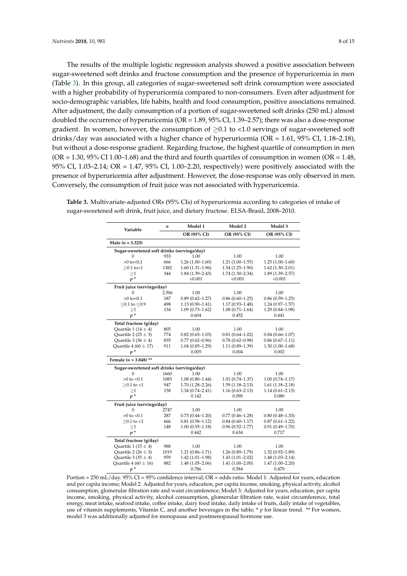The results of the multiple logistic regression analysis showed a positive association between sugar-sweetened soft drinks and fructose consumption and the presence of hyperuricemia in men (Table [3\)](#page-7-0). In this group, all categories of sugar-sweetened soft drink consumption were associated with a higher probability of hyperuricemia compared to non-consumers. Even after adjustment for socio-demographic variables, life habits, health and food consumption, positive associations remained. After adjustment, the daily consumption of a portion of sugar-sweetened soft drinks (250 mL) almost doubled the occurrence of hyperuricemia (OR = 1.89, 95% CI, 1.39–2.57); there was also a dose-response gradient. In women, however, the consumption of  $\geq 0.1$  to <1.0 servings of sugar-sweetened soft drinks/day was associated with a higher chance of hyperuricemia ( $OR = 1.61$ ,  $95\%$  CI, 1.18–2.18), but without a dose-response gradient. Regarding fructose, the highest quartile of consumption in men  $(OR = 1.30, 95\% \text{ CI } 1.00-1.68)$  and the third and fourth quartiles of consumption in women  $(OR = 1.48,$ 95% CI, 1.03–2.14; OR = 1.47, 95% CI, 1.00–2.20, respectively) were positively associated with the presence of hyperuricemia after adjustment. However, the dose-response was only observed in men. Conversely, the consumption of fruit juice was not associated with hyperuricemia.

| Variable                                   | $\boldsymbol{n}$                           | Model 1             | Model 2             | Model 3             |  |  |  |
|--------------------------------------------|--------------------------------------------|---------------------|---------------------|---------------------|--|--|--|
|                                            |                                            | OR (95% CI)         | OR (95% CI)         | OR (95% CI)         |  |  |  |
| Male $(n = 3.325)$                         |                                            |                     |                     |                     |  |  |  |
|                                            | Sugar-sweetened soft drinks (servings/day) |                     |                     |                     |  |  |  |
| $\Omega$                                   | 933                                        | 1.00                | 1.00                | 1.00                |  |  |  |
| $>0$ to $< 0.1$                            | 666                                        | $1.26(1.00-1.60)$   | $1.21(1.00-1.55)$   | $1.25(1.00-1.60)$   |  |  |  |
| $\geq 0.1$ to <1                           | 1382                                       | $1.60(1.31-1.96)$   | $1.54(1.25-1.90)$   | $1.62(1.30-2.01)$   |  |  |  |
| >1                                         | 344                                        | $1.84(1.39 - 2.43)$ | $1.74(1.30 - 2.34)$ | 1.89 (1.39-2.57)    |  |  |  |
| $p^*$                                      |                                            | < 0.001             | < 0.001             | < 0.001             |  |  |  |
| Fruit juice (servings/day)                 |                                            |                     |                     |                     |  |  |  |
| 0                                          | 2.506                                      | 1.00                | 1.00                | 1.00                |  |  |  |
| $>0$ to $< 0.1$                            | 187                                        | $0.89(0.62 - 1.27)$ | $0.86(0.60-1.25)$   | $0.86(0.59-1.25)$   |  |  |  |
| $≥0.1$ to $≤0.9$                           | 498                                        | $1.13(0.90 - 1.41)$ | $1.17(0.93 - 1.48)$ | $1.24(0.97-1.57)$   |  |  |  |
| >1                                         | 134                                        | $1.09(0.73 - 1.62)$ | $1.08(0.71 - 1.64)$ | $1.29(0.84 - 1.98)$ |  |  |  |
| $p^*$                                      |                                            | 0.604               | 0.452               | 0.441               |  |  |  |
| Total fructose (g/day)                     |                                            |                     |                     |                     |  |  |  |
| Quartile 1 (14 $\pm$ 4)                    | 805                                        | 1.00                | 1.00                | 1.00                |  |  |  |
| Quartile 2 (25 $\pm$ 3)                    | 774                                        | $0.82(0.65 - 1.03)$ | $0.81(0.64 - 1.02)$ | $0.84(0.66 - 1.07)$ |  |  |  |
| Quartile 3 (36 $\pm$ 4)                    | 835                                        | $0.77(0.62 - 0.96)$ | $0.78(0.62 - 0.98)$ | $0.86(0.67 - 1.11)$ |  |  |  |
| Quartile 4 (60 $\pm$ 17)                   | 911                                        | $1.04(0.85-1.29)$   | $1.11(0.89 - 1.39)$ | $1.30(1.00-1.68)$   |  |  |  |
| $p^*$                                      |                                            | 0.005               | 0.004               | 0.002               |  |  |  |
| Female $(n = 3.848)$ **                    |                                            |                     |                     |                     |  |  |  |
| Sugar-sweetened soft drinks (servings/day) |                                            |                     |                     |                     |  |  |  |
| $\Omega$                                   | 1660                                       | 1.00                | 1.00                | 1.00                |  |  |  |
| $>0$ to $< 0.1$                            | 1083                                       | $1.08(0.80 - 1.44)$ | $1.01(0.74 - 1.37)$ | $1.00(0.74 - 1.17)$ |  |  |  |
| $\geq$ 0.1 to <1                           | 947                                        | $1.70(1.28 - 2.26)$ | $1.59(1.18 - 2.13)$ | $1.61(1.18-2.18)$   |  |  |  |
| $\geq1$                                    | 158                                        | $1.34(0.74 - 2.41)$ | $1.16(0.63 - 2.13)$ | $1.14(0.61 - 2.13)$ |  |  |  |
| $p^*$                                      |                                            | 0.142               | 0.090               | 0.080               |  |  |  |
| Fruit juice (servings/day)                 |                                            |                     |                     |                     |  |  |  |
| 0                                          | 2747                                       | 1.00                | 1.00                | 1.00                |  |  |  |
| $>0$ to $< 0.1$                            | 287                                        | $0.73(0.44 - 1.20)$ | $0.77(0.46 - 1.28)$ | $0.80(0.48 - 1.33)$ |  |  |  |
| $\geq$ 0.1 to <1                           | 666                                        | $0.81(0.58 - 1.12)$ | $0.84(0.60 - 1.17)$ | $0.87(0.61 - 1.22)$ |  |  |  |
| $\geq1$                                    | 148                                        | $1.00(0.55 - 1.18)$ | $0.96(0.52 - 1.77)$ | $0.91(0.49 - 1.70)$ |  |  |  |
| $p^*$                                      |                                            | 0.442               | 0.634               | 0.717               |  |  |  |
| Total fructose (g/day)                     |                                            |                     |                     |                     |  |  |  |
| Quartile 1 (15 $\pm$ 4)                    | 988                                        | 1.00                | 1.00                | 1.00                |  |  |  |
| Quartile 2 (26 $\pm$ 3)                    | 1019                                       | $1.21(0.86 - 1.71)$ | $1.26(0.89 - 1.79)$ | $1.32(0.92 - 1.89)$ |  |  |  |
| Quartile 3 (35 $\pm$ 4)                    | 959                                        | $1.42(1.01-1.98)$   | $1.43(1.01 - 2.02)$ | $1.48(1.03 - 2.14)$ |  |  |  |
| Quartile 4 (60 $\pm$ 16)                   | 882                                        | $1.48(1.05 - 2.06)$ | $1.41(1.00 - 2.00)$ | $1.47(1.00 - 2.20)$ |  |  |  |
| $p^*$                                      |                                            | 0.786               | 0.584               | 0.470               |  |  |  |

<span id="page-7-0"></span>**Table 3.** Multivariate-adjusted ORs (95% CIs) of hyperuricemia according to categories of intake of sugar-sweetened soft drink, fruit juice, and dietary fructose. ELSA-Brasil, 2008–2010.

Portion = 250 mL/day. 95% CI = 95% confidence interval; OR = odds ratio. Model 1: Adjusted for years, education and per capita income; Model 2: Adjusted for years, education, per capita income, smoking, physical activity, alcohol consumption, glomerular filtration rate and waist circumference; Model 3: Adjusted for years, education, per capita income, smoking, physical activity, alcohol consumption, glomerular filtration rate, waist circumference, total energy, meat intake, seafood intake, coffee intake, dairy food intake, daily intake of fruits, daily intake of vegetables, use of vitamin supplements, Vitamin C, and another beverages in the table; \* *p* for linear trend. \*\* For women, model 3 was additionally adjusted for menopause and postmenopausal hormone use.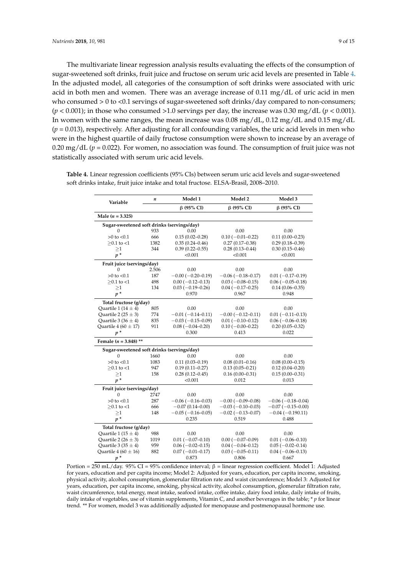The multivariate linear regression analysis results evaluating the effects of the consumption of sugar-sweetened soft drinks, fruit juice and fructose on serum uric acid levels are presented in Table [4.](#page-8-0) In the adjusted model, all categories of the consumption of soft drinks were associated with uric acid in both men and women. There was an average increase of 0.11 mg/dL of uric acid in men who consumed  $> 0$  to <0.1 servings of sugar-sweetened soft drinks/day compared to non-consumers;  $(p < 0.001)$ ; in those who consumed >1.0 servings per day, the increase was 0.30 mg/dL  $(p < 0.001)$ . In women with the same ranges, the mean increase was 0.08 mg/dL, 0.12 mg/dL and 0.15 mg/dL  $(p = 0.013)$ , respectively. After adjusting for all confounding variables, the uric acid levels in men who were in the highest quartile of daily fructose consumption were shown to increase by an average of 0.20 mg/dL (*p* = 0.022). For women, no association was found. The consumption of fruit juice was not statistically associated with serum uric acid levels.

| Variable                                   | n     | Model 1                  | Model 2                    | Model 3               |  |  |
|--------------------------------------------|-------|--------------------------|----------------------------|-----------------------|--|--|
|                                            |       | $\beta$ (95% CI)         | β (95% CI)                 | $\beta$ (95% CI)      |  |  |
| Male $(n = 3.325)$                         |       |                          |                            |                       |  |  |
| Sugar-sweetened soft drinks (servings/day) |       |                          |                            |                       |  |  |
| 0                                          | 933   | 0.00                     | 0.00                       | 0.00                  |  |  |
| $>0$ to $< 0.1$                            | 666   | $0.15(0.02 - 0.28)$      | $0.10 (-0.01 - 0.22)$      | $0.11(0.00 - 0.23)$   |  |  |
| $>0.1$ to $<1$                             | 1382  | $0.35(0.24 - 0.46)$      | $0.27(0.17-0.38)$          | $0.29(0.18 - 0.39)$   |  |  |
| >1                                         | 344   | $0.39(0.22 - 0.55)$      | $0.28(0.13 - 0.44)$        | $0.30(0.15 - 0.46)$   |  |  |
| $p^*$                                      |       | < 0.001                  | < 0.001                    | < 0.001               |  |  |
| Fruit juice (servings/day)                 |       |                          |                            |                       |  |  |
| 0                                          | 2.506 | 0.00                     | 0.00                       | 0.00                  |  |  |
| $>0$ to $< 0.1$                            | 187   | $-0.00$ ( $-0.20-0.19$ ) | $-0.06(-0.18-0.17)$        | $0.01 (-0.17 - 0.19)$ |  |  |
| $>0.1$ to $<1$                             | 498   | $0.00 (-0.12 - 0.13)$    | $0.03(-0.08-0.15)$         | $0.06(-0.05-0.18)$    |  |  |
| $\geq1$                                    | 134   | $0.03(-0.19-0.26)$       | $0.04 (-0.17 - 0.25)$      | $0.14(0.06 - 0.35)$   |  |  |
| $p^*$                                      |       | 0.970                    | 0.967                      | 0.948                 |  |  |
| Total fructose (g/day)                     |       |                          |                            |                       |  |  |
| Quartile 1 (14 $\pm$ 4)                    | 805   | 0.00                     | 0.00                       | 0.00                  |  |  |
| Quartile 2 (25 $\pm$ 3)                    | 774   | $-0.01(-0.14-0.11)$      | $-0.00$ ( $-0.12-0.11$ )   | $0.01 (-0.11 - 0.13)$ |  |  |
| Ouartile 3 (36 $\pm$ 4)                    | 835   | $-0.03(-0.15-0.09)$      | $0.01(-0.10-0.12)$         | $0.06(-0.06-0.18)$    |  |  |
| Quartile 4 (60 $\pm$ 17)                   | 911   | $0.08 (-0.04 - 0.20)$    | $0.10 (-0.00 - 0.22)$      | $0.20(0.05 - 0.32)$   |  |  |
| $p^*$                                      |       | 0.300                    | 0.413                      | 0.022                 |  |  |
| Female ( $n = 3.848$ ) **                  |       |                          |                            |                       |  |  |
| Sugar-sweetened soft drinks (servings/day) |       |                          |                            |                       |  |  |
| 0                                          | 1660  | 0.00                     | 0.00                       | 0.00                  |  |  |
| $>0$ to $< 0.1$                            | 1083  | $0.11(0.03 - 0.19)$      | $0.08(0.01 - 0.16)$        | $0.08(0.00 - 0.15)$   |  |  |
| $>0.1$ to $<1$                             | 947   | $0.19(0.11 - 0.27)$      | $0.13(0.05 - 0.21)$        | $0.12(0.04 - 0.20)$   |  |  |
| >1                                         | 158   | $0.28(0.12 - 0.45)$      | $0.16(0.00 - 0.31)$        | $0.15(0.00 - 0.31)$   |  |  |
| $p^*$                                      |       | < 0.001                  | 0.012                      | 0.013                 |  |  |
| Fruit juice (servings/day)                 |       |                          |                            |                       |  |  |
| 0                                          | 2747  | 0.00                     | 0.00                       | 0.00                  |  |  |
| $>0$ to $< 0.1$                            | 287   | $-0.06(-0.16-0.03)$      | $-0.00$ ( $-0.09-0.08$ )   | $-0.06(-0.18-0.04)$   |  |  |
| $>0.1$ to $<1$                             | 666   | $-0.07(0.14 - 0.00)$     | $-0.03(-0.10-0.03)$        | $-0.07(-0.15-0.00)$   |  |  |
| >1                                         | 148   | $-0.05(-0.16-0.05)$      | $-0.02$ ( $-0.13 - 0.07$ ) | $-0.04(-0.190.11)$    |  |  |
| $v^*$                                      |       | 0.235                    | 0.519                      | 0.488                 |  |  |
| Total fructose (g/day)                     |       |                          |                            |                       |  |  |
| Quartile 1 (15 $\pm$ 4)                    | 988   | 0.00                     | 0.00                       | 0.00                  |  |  |
| Quartile 2 (26 $\pm$ 3)                    | 1019  | $0.01 (-0.07 - 0.10)$    | $0.00 (-0.07 - 0.09)$      | $0.01 (-0.06 - 0.10)$ |  |  |
| Quartile 3 (35 $\pm$ 4)                    | 959   | $0.06 (-0.02 - 0.15)$    | $0.04 (-0.04 - 0.12)$      | $0.05(-0.02-0.14)$    |  |  |
| Quartile 4 (60 $\pm$ 16)                   | 882   | $0.07 (-0.01 - 0.17)$    | $0.03(-0.05-0.11)$         | $0.04 (-0.06 - 0.13)$ |  |  |
| $p^*$                                      |       | 0.873                    | 0.806                      | 0.667                 |  |  |

<span id="page-8-0"></span>**Table 4.** Linear regression coefficients (95% CIs) between serum uric acid levels and sugar-sweetened soft drinks intake, fruit juice intake and total fructose. ELSA-Brasil, 2008–2010.

Portion = 250 mL/day. 95% CI = 95% confidence interval; β = linear regression coefficient. Model 1: Adjusted for years, education and per capita income; Model 2: Adjusted for years, education, per capita income, smoking, physical activity, alcohol consumption, glomerular filtration rate and waist circumference; Model 3: Adjusted for years, education, per capita income, smoking, physical activity, alcohol consumption, glomerular filtration rate, waist circumference, total energy, meat intake, seafood intake, coffee intake, dairy food intake, daily intake of fruits, daily intake of vegetables, use of vitamin supplements, Vitamin C, and another beverages in the table; \* *p* for linear trend. \*\* For women, model 3 was additionally adjusted for menopause and postmenopausal hormone use.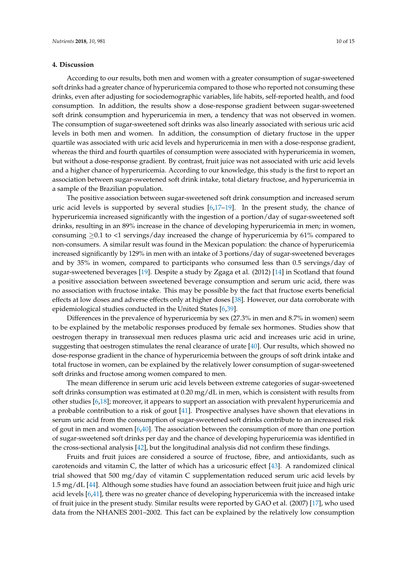#### **4. Discussion**

According to our results, both men and women with a greater consumption of sugar-sweetened soft drinks had a greater chance of hyperuricemia compared to those who reported not consuming these drinks, even after adjusting for sociodemographic variables, life habits, self-reported health, and food consumption. In addition, the results show a dose-response gradient between sugar-sweetened soft drink consumption and hyperuricemia in men, a tendency that was not observed in women. The consumption of sugar-sweetened soft drinks was also linearly associated with serious uric acid levels in both men and women. In addition, the consumption of dietary fructose in the upper quartile was associated with uric acid levels and hyperuricemia in men with a dose-response gradient, whereas the third and fourth quartiles of consumption were associated with hyperuricemia in women, but without a dose-response gradient. By contrast, fruit juice was not associated with uric acid levels and a higher chance of hyperuricemia. According to our knowledge, this study is the first to report an association between sugar-sweetened soft drink intake, total dietary fructose, and hyperuricemia in a sample of the Brazilian population.

The positive association between sugar-sweetened soft drink consumption and increased serum uric acid levels is supported by several studies [\[6,](#page-11-5)[17](#page-12-9)[–19\]](#page-12-10). In the present study, the chance of hyperuricemia increased significantly with the ingestion of a portion/day of sugar-sweetened soft drinks, resulting in an 89% increase in the chance of developing hyperuricemia in men; in women, consuming  $\geq 0.1$  to <1 servings/day increased the change of hyperuricemia by 61% compared to non-consumers. A similar result was found in the Mexican population: the chance of hyperuricemia increased significantly by 129% in men with an intake of 3 portions/day of sugar-sweetened beverages and by 35% in women, compared to participants who consumed less than 0.5 servings/day of sugar-sweetened beverages [\[19\]](#page-12-10). Despite a study by Zgaga et al. (2012) [\[14\]](#page-12-7) in Scotland that found a positive association between sweetened beverage consumption and serum uric acid, there was no association with fructose intake. This may be possible by the fact that fructose exerts beneficial effects at low doses and adverse effects only at higher doses [\[38\]](#page-13-11). However, our data corroborate with epidemiological studies conducted in the United States [\[6,](#page-11-5)[39\]](#page-13-12).

Differences in the prevalence of hyperuricemia by sex (27.3% in men and 8.7% in women) seem to be explained by the metabolic responses produced by female sex hormones. Studies show that oestrogen therapy in transsexual men reduces plasma uric acid and increases uric acid in urine, suggesting that oestrogen stimulates the renal clearance of urate [\[40\]](#page-13-13). Our results, which showed no dose-response gradient in the chance of hyperuricemia between the groups of soft drink intake and total fructose in women, can be explained by the relatively lower consumption of sugar-sweetened soft drinks and fructose among women compared to men.

The mean difference in serum uric acid levels between extreme categories of sugar-sweetened soft drinks consumption was estimated at 0.20 mg/dL in men, which is consistent with results from other studies [\[6](#page-11-5)[,18\]](#page-12-18); moreover, it appears to support an association with prevalent hyperuricemia and a probable contribution to a risk of gout [\[41\]](#page-13-14). Prospective analyses have shown that elevations in serum uric acid from the consumption of sugar-sweetened soft drinks contribute to an increased risk of gout in men and women [\[6,](#page-11-5)[40\]](#page-13-13). The association between the consumption of more than one portion of sugar-sweetened soft drinks per day and the chance of developing hyperuricemia was identified in the cross-sectional analysis [\[42\]](#page-13-15), but the longitudinal analysis did not confirm these findings.

Fruits and fruit juices are considered a source of fructose, fibre, and antioxidants, such as carotenoids and vitamin C, the latter of which has a uricosuric effect [\[43\]](#page-13-16). A randomized clinical trial showed that 500 mg/day of vitamin C supplementation reduced serum uric acid levels by 1.5 mg/dL [\[44\]](#page-13-17). Although some studies have found an association between fruit juice and high uric acid levels [\[6,](#page-11-5)[41\]](#page-13-14), there was no greater chance of developing hyperuricemia with the increased intake of fruit juice in the present study. Similar results were reported by GAO et al. (2007) [\[17\]](#page-12-9), who used data from the NHANES 2001–2002. This fact can be explained by the relatively low consumption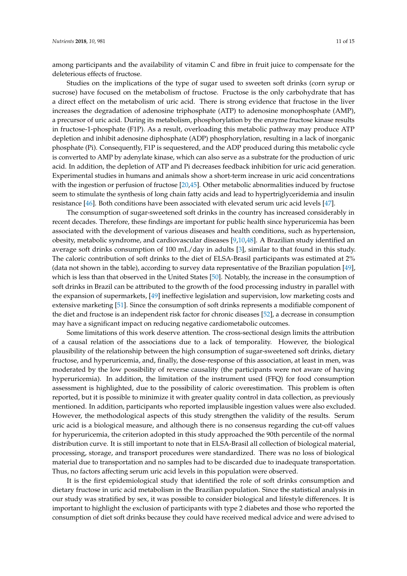among participants and the availability of vitamin C and fibre in fruit juice to compensate for the deleterious effects of fructose.

Studies on the implications of the type of sugar used to sweeten soft drinks (corn syrup or sucrose) have focused on the metabolism of fructose. Fructose is the only carbohydrate that has a direct effect on the metabolism of uric acid. There is strong evidence that fructose in the liver increases the degradation of adenosine triphosphate (ATP) to adenosine monophosphate (AMP), a precursor of uric acid. During its metabolism, phosphorylation by the enzyme fructose kinase results in fructose-1-phosphate (F1P). As a result, overloading this metabolic pathway may produce ATP depletion and inhibit adenosine diphosphate (ADP) phosphorylation, resulting in a lack of inorganic phosphate (Pi). Consequently, F1P is sequestered, and the ADP produced during this metabolic cycle is converted to AMP by adenylate kinase, which can also serve as a substrate for the production of uric acid. In addition, the depletion of ATP and Pi decreases feedback inhibition for uric acid generation. Experimental studies in humans and animals show a short-term increase in uric acid concentrations with the ingestion or perfusion of fructose [\[20,](#page-12-11)[45\]](#page-13-18). Other metabolic abnormalities induced by fructose seem to stimulate the synthesis of long chain fatty acids and lead to hypertriglyceridemia and insulin resistance [\[46\]](#page-13-19). Both conditions have been associated with elevated serum uric acid levels [\[47\]](#page-14-0).

The consumption of sugar-sweetened soft drinks in the country has increased considerably in recent decades. Therefore, these findings are important for public health since hyperuricemia has been associated with the development of various diseases and health conditions, such as hypertension, obesity, metabolic syndrome, and cardiovascular diseases [\[9](#page-12-2)[,10](#page-12-3)[,48\]](#page-14-1). A Brazilian study identified an average soft drinks consumption of 100 mL/day in adults [\[3\]](#page-11-2), similar to that found in this study. The caloric contribution of soft drinks to the diet of ELSA-Brasil participants was estimated at 2% (data not shown in the table), according to survey data representative of the Brazilian population [\[49\]](#page-14-2), which is less than that observed in the United States [\[50\]](#page-14-3). Notably, the increase in the consumption of soft drinks in Brazil can be attributed to the growth of the food processing industry in parallel with the expansion of supermarkets, [\[49\]](#page-14-2) ineffective legislation and supervision, low marketing costs and extensive marketing [\[51\]](#page-14-4). Since the consumption of soft drinks represents a modifiable component of the diet and fructose is an independent risk factor for chronic diseases [\[52\]](#page-14-5), a decrease in consumption may have a significant impact on reducing negative cardiometabolic outcomes.

Some limitations of this work deserve attention. The cross-sectional design limits the attribution of a causal relation of the associations due to a lack of temporality. However, the biological plausibility of the relationship between the high consumption of sugar-sweetened soft drinks, dietary fructose, and hyperuricemia, and, finally, the dose-response of this association, at least in men, was moderated by the low possibility of reverse causality (the participants were not aware of having hyperuricemia). In addition, the limitation of the instrument used (FFQ) for food consumption assessment is highlighted, due to the possibility of caloric overestimation. This problem is often reported, but it is possible to minimize it with greater quality control in data collection, as previously mentioned. In addition, participants who reported implausible ingestion values were also excluded. However, the methodological aspects of this study strengthen the validity of the results. Serum uric acid is a biological measure, and although there is no consensus regarding the cut-off values for hyperuricemia, the criterion adopted in this study approached the 90th percentile of the normal distribution curve. It is still important to note that in ELSA-Brasil all collection of biological material, processing, storage, and transport procedures were standardized. There was no loss of biological material due to transportation and no samples had to be discarded due to inadequate transportation. Thus, no factors affecting serum uric acid levels in this population were observed.

It is the first epidemiological study that identified the role of soft drinks consumption and dietary fructose in uric acid metabolism in the Brazilian population. Since the statistical analysis in our study was stratified by sex, it was possible to consider biological and lifestyle differences. It is important to highlight the exclusion of participants with type 2 diabetes and those who reported the consumption of diet soft drinks because they could have received medical advice and were advised to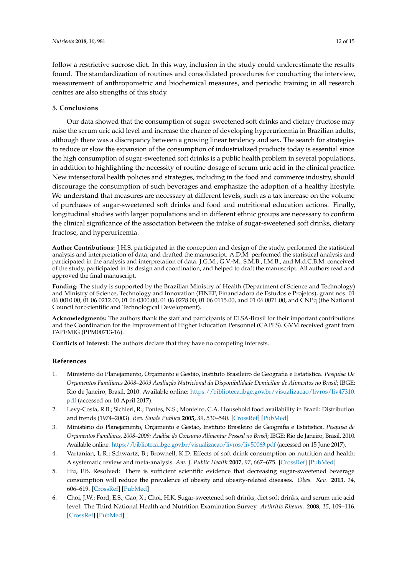follow a restrictive sucrose diet. In this way, inclusion in the study could underestimate the results found. The standardization of routines and consolidated procedures for conducting the interview, measurement of anthropometric and biochemical measures, and periodic training in all research

# **5. Conclusions**

centres are also strengths of this study.

Our data showed that the consumption of sugar-sweetened soft drinks and dietary fructose may raise the serum uric acid level and increase the chance of developing hyperuricemia in Brazilian adults, although there was a discrepancy between a growing linear tendency and sex. The search for strategies to reduce or slow the expansion of the consumption of industrialized products today is essential since the high consumption of sugar-sweetened soft drinks is a public health problem in several populations, in addition to highlighting the necessity of routine dosage of serum uric acid in the clinical practice. New intersectoral health policies and strategies, including in the food and commerce industry, should discourage the consumption of such beverages and emphasize the adoption of a healthy lifestyle. We understand that measures are necessary at different levels, such as a tax increase on the volume of purchases of sugar-sweetened soft drinks and food and nutritional education actions. Finally, longitudinal studies with larger populations and in different ethnic groups are necessary to confirm the clinical significance of the association between the intake of sugar-sweetened soft drinks, dietary fructose, and hyperuricemia.

**Author Contributions:** J.H.S. participated in the conception and design of the study, performed the statistical analysis and interpretation of data, and drafted the manuscript. A.D.M. performed the statistical analysis and participated in the analysis and interpretation of data. J.G.M., G.V.-M., S.M.B., I.M.B., and M.d.C.B.M. conceived of the study, participated in its design and coordination, and helped to draft the manuscript. All authors read and approved the final manuscript.

**Funding:** The study is supported by the Brazilian Ministry of Health (Department of Science and Technology) and Ministry of Science, Technology and Innovation (FINEP, Financiadora de Estudos e Projetos), grant nos. 01 06 0010.00, 01 06 0212.00, 01 06 0300.00, 01 06 0278.00, 01 06 0115.00, and 01 06 0071.00, and CNPq (the National Council for Scientific and Technological Development).

**Acknowledgments:** The authors thank the staff and participants of ELSA-Brasil for their important contributions and the Coordination for the Improvement of Higher Education Personnel (CAPES). GVM received grant from FAPEMIG (PPM00713-16).

**Conflicts of Interest:** The authors declare that they have no competing interests.

## **References**

- <span id="page-11-0"></span>1. Ministério do Planejamento, Orçamento e Gestão, Instituto Brasileiro de Geografia e Estatística. *Pesquisa De Orçamentos Familiares 2008–2009 Avaliação Nutricional da Disponibilidade Domiciliar de Alimentos no Brasil*; IBGE: Rio de Janeiro, Brasil, 2010. Available online: [https://biblioteca.ibge.gov.br/visualizacao/livros/liv47310.](https://biblioteca.ibge.gov.br/visualizacao/livros/liv47310.pdf) [pdf](https://biblioteca.ibge.gov.br/visualizacao/livros/liv47310.pdf) (accessed on 10 April 2017).
- <span id="page-11-1"></span>2. Levy-Costa, R.B.; Sichieri, R.; Pontes, N.S.; Monteiro, C.A. Household food availability in Brazil: Distribution and trends (1974–2003). *Rev. Saude Publica* **2005**, *39*, 530–540. [\[CrossRef\]](http://dx.doi.org/10.1590/S0034-89102005000400003) [\[PubMed\]](http://www.ncbi.nlm.nih.gov/pubmed/16113900)
- <span id="page-11-2"></span>3. Ministério do Planejamento, Orçamento e Gestão, Instituto Brasileiro de Geografia e Estatística. *Pesquisa de Orçamentos Familiares, 2008–2009: Análise do Consumo Alimentar Pessoal no Brasil*; IBGE: Rio de Janeiro, Brasil, 2010. Available online: <https://biblioteca.ibge.gov.br/visualizacao/livros/liv50063.pdf> (accessed on 15 June 2017).
- <span id="page-11-3"></span>4. Vartanian, L.R.; Schwartz, B.; Brownell, K.D. Effects of soft drink consumption on nutrition and health: A systematic review and meta-analysis. *Am. J. Public Health* **2007**, *97*, 667–675. [\[CrossRef\]](http://dx.doi.org/10.2105/AJPH.2005.083782) [\[PubMed\]](http://www.ncbi.nlm.nih.gov/pubmed/17329656)
- <span id="page-11-4"></span>5. Hu, F.B. Resolved: There is sufficient scientific evidence that decreasing sugar-sweetened beverage consumption will reduce the prevalence of obesity and obesity-related diseases. *Obes. Rev.* **2013**, *14*, 606–619. [\[CrossRef\]](http://dx.doi.org/10.1111/obr.12040) [\[PubMed\]](http://www.ncbi.nlm.nih.gov/pubmed/23763695)
- <span id="page-11-5"></span>6. Choi, J.W.; Ford, E.S.; Gao, X.; Choi, H.K. Sugar-sweetened soft drinks, diet soft drinks, and serum uric acid level: The Third National Health and Nutrition Examination Survey. *Arthritis Rheum.* **2008**, *15*, 109–116. [\[CrossRef\]](http://dx.doi.org/10.1002/art.23245) [\[PubMed\]](http://www.ncbi.nlm.nih.gov/pubmed/18163396)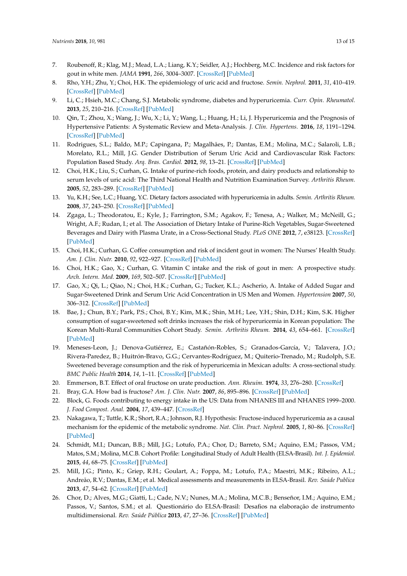- <span id="page-12-0"></span>7. Roubenoff, R.; Klag, M.J.; Mead, L.A.; Liang, K.Y.; Seidler, A.J.; Hochberg, M.C. Incidence and risk factors for gout in white men. *JAMA* **1991**, *266*, 3004–3007. [\[CrossRef\]](http://dx.doi.org/10.1001/jama.1991.03470210072035) [\[PubMed\]](http://www.ncbi.nlm.nih.gov/pubmed/1820473)
- <span id="page-12-1"></span>8. Rho, Y.H.; Zhu, Y.; Choi, H.K. The epidemiology of uric acid and fructose. *Semin. Nephrol.* **2011**, *31*, 410–419. [\[CrossRef\]](http://dx.doi.org/10.1016/j.semnephrol.2011.08.004) [\[PubMed\]](http://www.ncbi.nlm.nih.gov/pubmed/22000647)
- <span id="page-12-2"></span>9. Li, C.; Hsieh, M.C.; Chang, S.J. Metabolic syndrome, diabetes and hyperuricemia. *Curr. Opin. Rheumatol.* **2013**, *25*, 210–216. [\[CrossRef\]](http://dx.doi.org/10.1097/BOR.0b013e32835d951e) [\[PubMed\]](http://www.ncbi.nlm.nih.gov/pubmed/23370374)
- <span id="page-12-3"></span>10. Qin, T.; Zhou, X.; Wang, J.; Wu, X.; Li, Y.; Wang, L.; Huang, H.; Li, J. Hyperuricemia and the Prognosis of Hypertensive Patients: A Systematic Review and Meta-Analysis. *J. Clin. Hypertens.* **2016**, *18*, 1191–1294. [\[CrossRef\]](http://dx.doi.org/10.1111/jch.12855) [\[PubMed\]](http://www.ncbi.nlm.nih.gov/pubmed/27247021)
- <span id="page-12-4"></span>11. Rodrigues, S.L.; Baldo, M.P.; Capingana, P.; Magalhães, P.; Dantas, E.M.; Molina, M.C.; Salaroli, L.B.; Morelato, R.L.; Mill, J.G. Gender Distribution of Serum Uric Acid and Cardiovascular Risk Factors: Population Based Study. *Arq. Bras. Cardiol.* **2012**, *98*, 13–21. [\[CrossRef\]](http://dx.doi.org/10.1590/S0066-782X2011005000116) [\[PubMed\]](http://www.ncbi.nlm.nih.gov/pubmed/22146989)
- <span id="page-12-5"></span>12. Choi, H.K.; Liu, S.; Curhan, G. Intake of purine-rich foods, protein, and dairy products and relationship to serum levels of uric acid: The Third National Health and Nutrition Examination Survey. *Arthritis Rheum.* **2005**, *52*, 283–289. [\[CrossRef\]](http://dx.doi.org/10.1002/art.20761) [\[PubMed\]](http://www.ncbi.nlm.nih.gov/pubmed/15641075)
- <span id="page-12-6"></span>13. Yu, K.H.; See, L.C.; Huang, Y.C. Dietary factors associated with hyperuricemia in adults. *Semin. Arthritis Rheum.* **2008**, *37*, 243–250. [\[CrossRef\]](http://dx.doi.org/10.1016/j.semarthrit.2007.04.007) [\[PubMed\]](http://www.ncbi.nlm.nih.gov/pubmed/17570471)
- <span id="page-12-7"></span>14. Zgaga, L.; Theodoratou, E.; Kyle, J.; Farrington, S.M.; Agakov, F.; Tenesa, A.; Walker, M.; McNeill, G.; Wright, A.F.; Rudan, I.; et al. The Association of Dietary Intake of Purine-Rich Vegetables, Sugar-Sweetened Beverages and Dairy with Plasma Urate, in a Cross-Sectional Study. *PLoS ONE* **2012**, *7*, e38123. [\[CrossRef\]](http://dx.doi.org/10.1371/journal.pone.0038123) [\[PubMed\]](http://www.ncbi.nlm.nih.gov/pubmed/22701608)
- 15. Choi, H.K.; Curhan, G. Coffee consumption and risk of incident gout in women: The Nurses' Health Study. *Am. J. Clin. Nutr.* **2010**, *92*, 922–927. [\[CrossRef\]](http://dx.doi.org/10.3945/ajcn.2010.29565) [\[PubMed\]](http://www.ncbi.nlm.nih.gov/pubmed/20739424)
- <span id="page-12-8"></span>16. Choi, H.K.; Gao, X.; Curhan, G. Vitamin C intake and the risk of gout in men: A prospective study. *Arch. Intern. Med.* **2009**, *169*, 502–507. [\[CrossRef\]](http://dx.doi.org/10.1001/archinternmed.2008.606) [\[PubMed\]](http://www.ncbi.nlm.nih.gov/pubmed/19273781)
- <span id="page-12-9"></span>17. Gao, X.; Qi, L.; Qiao, N.; Choi, H.K.; Curhan, G.; Tucker, K.L.; Ascherio, A. Intake of Added Sugar and Sugar-Sweetened Drink and Serum Uric Acid Concentration in US Men and Women. *Hypertension* **2007**, *50*, 306–312. [\[CrossRef\]](http://dx.doi.org/10.1161/HYPERTENSIONAHA.107.091041) [\[PubMed\]](http://www.ncbi.nlm.nih.gov/pubmed/17592072)
- <span id="page-12-18"></span>18. Bae, J.; Chun, B.Y.; Park, P.S.; Choi, B.Y.; Kim, M.K.; Shin, M.H.; Lee, Y.H.; Shin, D.H.; Kim, S.K. Higher consumption of sugar-sweetened soft drinks increases the risk of hyperuricemia in Korean population: The Korean Multi-Rural Communities Cohort Study. *Semin. Arthritis Rheum.* **2014**, *43*, 654–661. [\[CrossRef\]](http://dx.doi.org/10.1016/j.semarthrit.2013.10.008) [\[PubMed\]](http://www.ncbi.nlm.nih.gov/pubmed/24290163)
- <span id="page-12-10"></span>19. Meneses-Leon, J.; Denova-Gutiérrez, E.; Castañón-Robles, S.; Granados-García, V.; Talavera, J.O.; Rivera-Paredez, B.; Huitrón-Bravo, G.G.; Cervantes-Rodríguez, M.; Quiterio-Trenado, M.; Rudolph, S.E. Sweetened beverage consumption and the risk of hyperuricemia in Mexican adults: A cross-sectional study. *BMC Public Health* **2014**, *14*, 1–11. [\[CrossRef\]](http://dx.doi.org/10.1186/1471-2458-14-445) [\[PubMed\]](http://www.ncbi.nlm.nih.gov/pubmed/24884821)
- <span id="page-12-11"></span>20. Emmerson, B.T. Effect of oral fructose on urate production. *Ann. Rheuim.* **1974**, *33*, 276–280. [\[CrossRef\]](http://dx.doi.org/10.1136/ard.33.3.276)
- <span id="page-12-12"></span>21. Bray, G.A. How bad is fructose? *Am. J. Clin. Nutr.* **2007**, *86*, 895–896. [\[CrossRef\]](http://dx.doi.org/10.1093/ajcn/86.4.895) [\[PubMed\]](http://www.ncbi.nlm.nih.gov/pubmed/17921361)
- <span id="page-12-13"></span>22. Block, G. Foods contributing to energy intake in the US: Data from NHANES III and NHANES 1999–2000. *J. Food Compost. Anal.* **2004**, *17*, 439–447. [\[CrossRef\]](http://dx.doi.org/10.1016/j.jfca.2004.02.007)
- <span id="page-12-14"></span>23. Nakagawa, T.; Tuttle, K.R.; Short, R.A.; Johnson, R.J. Hypothesis: Fructose-induced hyperuricemia as a causal mechanism for the epidemic of the metabolic syndrome. *Nat. Clin. Pract. Nephrol.* **2005**, *1*, 80–86. [\[CrossRef\]](http://dx.doi.org/10.1038/ncpneph0019) [\[PubMed\]](http://www.ncbi.nlm.nih.gov/pubmed/16932373)
- <span id="page-12-15"></span>24. Schmidt, M.I.; Duncan, B.B.; Mill, J.G.; Lotufo, P.A.; Chor, D.; Barreto, S.M.; Aquino, E.M.; Passos, V.M.; Matos, S.M.; Molina, M.C.B. Cohort Profile: Longitudinal Study of Adult Health (ELSA-Brasil). *Int. J. Epidemiol.* **2015**, *44*, 68–75. [\[CrossRef\]](http://dx.doi.org/10.1093/ije/dyu027) [\[PubMed\]](http://www.ncbi.nlm.nih.gov/pubmed/24585730)
- <span id="page-12-16"></span>25. Mill, J.G.; Pinto, K.; Griep, R.H.; Goulart, A.; Foppa, M.; Lotufo, P.A.; Maestri, M.K.; Ribeiro, A.L.; Andreão, R.V.; Dantas, E.M.; et al. Medical assessments and measurements in ELSA-Brasil. *Rev. Saúde Publica* **2013**, *47*, 54–62. [\[CrossRef\]](http://dx.doi.org/10.1590/S0034-8910.2013047003851) [\[PubMed\]](http://www.ncbi.nlm.nih.gov/pubmed/24346721)
- <span id="page-12-17"></span>26. Chor, D.; Alves, M.G.; Giatti, L.; Cade, N.V.; Nunes, M.A.; Molina, M.C.B.; Benseñor, I.M.; Aquino, E.M.; Passos, V.; Santos, S.M.; et al. Questionário do ELSA-Brasil: Desafios na elaboração de instrumento multidimensional. *Rev. Saúde Pública* **2013**, *47*, 27–36. [\[CrossRef\]](http://dx.doi.org/10.1590/S0034-8910.2013047003835) [\[PubMed\]](http://www.ncbi.nlm.nih.gov/pubmed/24346718)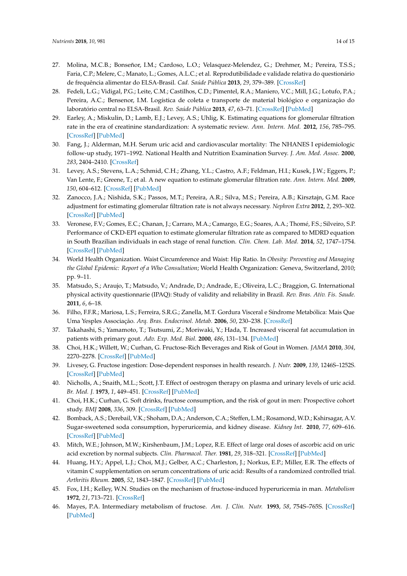- <span id="page-13-0"></span>27. Molina, M.C.B.; Bonseñor, I.M.; Cardoso, L.O.; Velasquez-Melendez, G.; Drehmer, M.; Pereira, T.S.S.; Faria, C.P.; Melere, C.; Manato, L.; Gomes, A.L.C.; et al. Reprodutibilidade e validade relativa do questionário de frequência alimentar do ELSA-Brasil. *Cad. Saúde Pública* **2013**, *29*, 379–389. [\[CrossRef\]](http://dx.doi.org/10.1590/S0102-311X2013000600024)
- <span id="page-13-1"></span>28. Fedeli, L.G.; Vidigal, P.G.; Leite, C.M.; Castilhos, C.D.; Pimentel, R.A.; Maniero, V.C.; Mill, J.G.; Lotufo, P.A.; Pereira, A.C.; Bensenor, I.M. Logística de coleta e transporte de material biológico e organização do laboratório central no ELSA-Brasil. *Rev. Saúde Pública* **2013**, *47*, 63–71. [\[CrossRef\]](http://dx.doi.org/10.1590/S0034-8910.2013047003807) [\[PubMed\]](http://www.ncbi.nlm.nih.gov/pubmed/24346722)
- <span id="page-13-2"></span>29. Earley, A.; Miskulin, D.; Lamb, E.J.; Levey, A.S.; Uhlig, K. Estimating equations for glomerular filtration rate in the era of creatinine standardization: A systematic review. *Ann. Intern. Med.* **2012**, *156*, 785–795. [\[CrossRef\]](http://dx.doi.org/10.7326/0003-4819-156-11-201203200-00391) [\[PubMed\]](http://www.ncbi.nlm.nih.gov/pubmed/22312131)
- <span id="page-13-3"></span>30. Fang, J.; Alderman, M.H. Serum uric acid and cardiovascular mortality: The NHANES I epidemiologic follow-up study, 1971–1992. National Health and Nutrition Examination Survey. *J. Am. Med. Assoc.* **2000**, *283*, 2404–2410. [\[CrossRef\]](http://dx.doi.org/10.1001/jama.283.18.2404)
- <span id="page-13-4"></span>31. Levey, A.S.; Stevens, L.A.; Schmid, C.H.; Zhang, Y.L.; Castro, A.F.; Feldman, H.I.; Kusek, J.W.; Eggers, P.; Van Lente, F.; Greene, T.; et al. A new equation to estimate glomerular filtration rate. *Ann. Intern. Med.* **2009**, *150*, 604–612. [\[CrossRef\]](http://dx.doi.org/10.7326/0003-4819-150-9-200905050-00006) [\[PubMed\]](http://www.ncbi.nlm.nih.gov/pubmed/19414839)
- <span id="page-13-5"></span>32. Zanocco, J.A.; Nishida, S.K.; Passos, M.T.; Pereira, A.R.; Silva, M.S.; Pereira, A.B.; Kirsztajn, G.M. Race adjustment for estimating glomerular filtration rate is not always necessary. *Nephron Extra* **2012**, *2*, 293–302. [\[CrossRef\]](http://dx.doi.org/10.1159/000343899) [\[PubMed\]](http://www.ncbi.nlm.nih.gov/pubmed/23243414)
- <span id="page-13-6"></span>33. Veronese, F.V.; Gomes, E.C.; Chanan, J.; Carraro, M.A.; Camargo, E.G.; Soares, A.A.; Thomé, F.S.; Silveiro, S.P. Performance of CKD-EPI equation to estimate glomerular filtration rate as compared to MDRD equation in South Brazilian individuals in each stage of renal function. *Clin. Chem. Lab. Med.* **2014**, *52*, 1747–1754. [\[CrossRef\]](http://dx.doi.org/10.1515/cclm-2014-0052) [\[PubMed\]](http://www.ncbi.nlm.nih.gov/pubmed/24940711)
- <span id="page-13-7"></span>34. World Health Organization. Waist Circumference and Waist: Hip Ratio. In *Obesity: Preventing and Managing the Global Epidemic: Report of a Who Consultation*; World Health Organization: Geneva, Switzerland, 2010; pp. 9–11.
- <span id="page-13-8"></span>35. Matsudo, S.; Araujo, T.; Matsudo, V.; Andrade, D.; Andrade, E.; Oliveira, L.C.; Braggion, G. International physical activity questionnarie (IPAQ): Study of validity and reliability in Brazil. *Rev. Bras. Ativ. Fis. Saude.* **2011**, *6*, 6–18.
- <span id="page-13-9"></span>36. Filho, F.F.R.; Mariosa, L.S.; Ferreira, S.R.G.; Zanella, M.T. Gordura Visceral e Síndrome Metabólica: Mais Que Uma Yesples Associação. *Arq. Bras. Endocrinol. Metab.* **2006**, *50*, 230–238. [\[CrossRef\]](http://dx.doi.org/10.1590/S0004-27302006000200009)
- <span id="page-13-10"></span>37. Takahashi, S.; Yamamoto, T.; Tsutsumi, Z.; Moriwaki, Y.; Hada, T. Increased visceral fat accumulation in patients with primary gout. *Adv. Exp. Med. Biol.* **2000**, *486*, 131–134. [\[PubMed\]](http://www.ncbi.nlm.nih.gov/pubmed/11783469)
- <span id="page-13-11"></span>38. Choi, H.K.; Willett, W.; Curhan, G. Fructose-Rich Beverages and Risk of Gout in Women. *JAMA* **2010**, *304*, 2270–2278. [\[CrossRef\]](http://dx.doi.org/10.1001/jama.2010.1638) [\[PubMed\]](http://www.ncbi.nlm.nih.gov/pubmed/21068145)
- <span id="page-13-12"></span>39. Livesey, G. Fructose ingestion: Dose-dependent responses in health research. *J. Nutr.* **2009**, *139*, 1246S–1252S. [\[CrossRef\]](http://dx.doi.org/10.3945/jn.108.097949) [\[PubMed\]](http://www.ncbi.nlm.nih.gov/pubmed/19386821)
- <span id="page-13-13"></span>40. Nicholls, A.; Snaith, M.L.; Scott, J.T. Effect of oestrogen therapy on plasma and urinary levels of uric acid. *Br. Med. J.* **1973**, *1*, 449–451. [\[CrossRef\]](http://dx.doi.org/10.1136/bmj.1.5851.449) [\[PubMed\]](http://www.ncbi.nlm.nih.gov/pubmed/4689833)
- <span id="page-13-14"></span>41. Choi, H.K.; Curhan, G. Soft drinks, fructose consumption, and the risk of gout in men: Prospective cohort study. *BMJ* **2008**, *336*, 309. [\[CrossRef\]](http://dx.doi.org/10.1136/bmj.39449.819271.BE) [\[PubMed\]](http://www.ncbi.nlm.nih.gov/pubmed/18244959)
- <span id="page-13-15"></span>42. Bomback, A.S.; Derebail, V.K.; Shoham, D.A.; Anderson, C.A.; Steffen, L.M.; Rosamond, W.D.; Kshirsagar, A.V. Sugar-sweetened soda consumption, hyperuricemia, and kidney disease. *Kidney Int.* **2010**, *77*, 609–616. [\[CrossRef\]](http://dx.doi.org/10.1038/ki.2009.500) [\[PubMed\]](http://www.ncbi.nlm.nih.gov/pubmed/20032963)
- <span id="page-13-16"></span>43. Mitch, W.E.; Johnson, M.W.; Kirshenbaum, J.M.; Lopez, R.E. Effect of large oral doses of ascorbic acid on uric acid excretion by normal subjects. *Clin. Pharmacol. Ther.* **1981**, *29*, 318–321. [\[CrossRef\]](http://dx.doi.org/10.1038/clpt.1981.42) [\[PubMed\]](http://www.ncbi.nlm.nih.gov/pubmed/7471601)
- <span id="page-13-17"></span>44. Huang, H.Y.; Appel, L.J.; Choi, M.J.; Gelber, A.C.; Charleston, J.; Norkus, E.P.; Miller, E.R. The effects of vitamin C supplementation on serum concentrations of uric acid: Results of a randomized controlled trial. *Arthritis Rheum.* **2005**, *52*, 1843–1847. [\[CrossRef\]](http://dx.doi.org/10.1002/art.21105) [\[PubMed\]](http://www.ncbi.nlm.nih.gov/pubmed/15934094)
- <span id="page-13-18"></span>45. Fox, I.H.; Kelley, W.N. Studies on the mechanism of fructose-induced hyperuricemia in man. *Metabolism* **1972**, *21*, 713–721. [\[CrossRef\]](http://dx.doi.org/10.1016/0026-0495(72)90120-5)
- <span id="page-13-19"></span>46. Mayes, P.A. Intermediary metabolism of fructose. *Am. J. Clin. Nutr.* **1993**, *58*, 754S–765S. [\[CrossRef\]](http://dx.doi.org/10.1093/ajcn/58.5.754S) [\[PubMed\]](http://www.ncbi.nlm.nih.gov/pubmed/8213607)